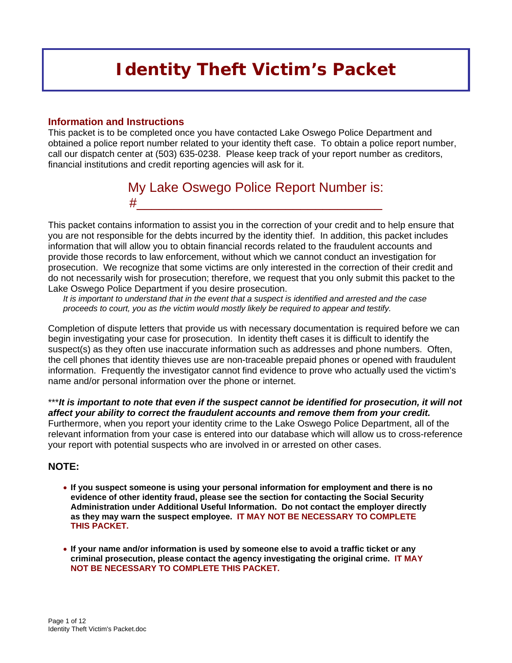# *Identity Theft Victim's Packet*

#### **Information and Instructions**

This packet is to be completed once you have contacted Lake Oswego Police Department and obtained a police report number related to your identity theft case. To obtain a police report number, call our dispatch center at (503) 635-0238. Please keep track of your report number as creditors, financial institutions and credit reporting agencies will ask for it.

## My Lake Oswego Police Report Number is: #\_\_\_\_\_\_\_\_\_\_\_\_\_\_\_\_\_\_\_\_\_\_\_\_\_\_\_\_\_\_\_\_\_

This packet contains information to assist you in the correction of your credit and to help ensure that you are not responsible for the debts incurred by the identity thief. In addition, this packet includes information that will allow you to obtain financial records related to the fraudulent accounts and provide those records to law enforcement, without which we cannot conduct an investigation for prosecution. We recognize that some victims are only interested in the correction of their credit and do not necessarily wish for prosecution; therefore, we request that you only submit this packet to the Lake Oswego Police Department if you desire prosecution.

*It is important to understand that in the event that a suspect is identified and arrested and the case proceeds to court, you as the victim would mostly likely be required to appear and testify.* 

Completion of dispute letters that provide us with necessary documentation is required before we can begin investigating your case for prosecution. In identity theft cases it is difficult to identify the suspect(s) as they often use inaccurate information such as addresses and phone numbers. Often, the cell phones that identity thieves use are non-traceable prepaid phones or opened with fraudulent information. Frequently the investigator cannot find evidence to prove who actually used the victim's name and/or personal information over the phone or internet.

\*\*\**It is important to note that even if the suspect cannot be identified for prosecution, it will not affect your ability to correct the fraudulent accounts and remove them from your credit.* Furthermore, when you report your identity crime to the Lake Oswego Police Department, all of the relevant information from your case is entered into our database which will allow us to cross-reference your report with potential suspects who are involved in or arrested on other cases.

#### **NOTE:**

- **If you suspect someone is using your personal information for employment and there is no evidence of other identity fraud, please see the section for contacting the Social Security Administration under Additional Useful Information. Do not contact the employer directly as they may warn the suspect employee. IT MAY NOT BE NECESSARY TO COMPLETE THIS PACKET.**
- **If your name and/or information is used by someone else to avoid a traffic ticket or any criminal prosecution, please contact the agency investigating the original crime. IT MAY NOT BE NECESSARY TO COMPLETE THIS PACKET.**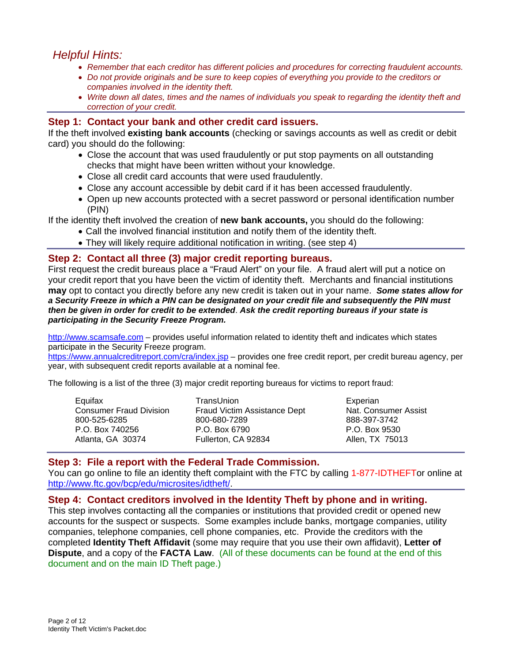### *Helpful Hints:*

- *Remember that each creditor has different policies and procedures for correcting fraudulent accounts.*
- *Do not provide originals and be sure to keep copies of everything you provide to the creditors or companies involved in the identity theft.*
- *Write down all dates, times and the names of individuals you speak to regarding the identity theft and correction of your credit.*

#### **Step 1: Contact your bank and other credit card issuers.**

If the theft involved **existing bank accounts** (checking or savings accounts as well as credit or debit card) you should do the following:

- Close the account that was used fraudulently or put stop payments on all outstanding checks that might have been written without your knowledge.
- Close all credit card accounts that were used fraudulently.
- Close any account accessible by debit card if it has been accessed fraudulently.
- Open up new accounts protected with a secret password or personal identification number (PIN)

If the identity theft involved the creation of **new bank accounts,** you should do the following:

- Call the involved financial institution and notify them of the identity theft.
	- They will likely require additional notification in writing. (see step 4)

#### **Step 2: Contact all three (3) major credit reporting bureaus.**

First request the credit bureaus place a "Fraud Alert" on your file. A fraud alert will put a notice on your credit report that you have been the victim of identity theft. Merchants and financial institutions **may** opt to contact you directly before any new credit is taken out in your name. *Some states allow for a Security Freeze in which a PIN can be designated on your credit file and subsequently the PIN must then be given in order for credit to be extended*. *Ask the credit reporting bureaus if your state is participating in the Security Freeze Program.* 

<http://www.scamsafe.com>– provides useful information related to identity theft and indicates which states participate in the Security Freeze program.

<https://www.annualcreditreport.com/cra/index.jsp> – provides one free credit report, per credit bureau agency, per year, with subsequent credit reports available at a nominal fee.

The following is a list of the three (3) major credit reporting bureaus for victims to report fraud:

| Equifax                        | TransUnion                   | Experian             |
|--------------------------------|------------------------------|----------------------|
| <b>Consumer Fraud Division</b> | Fraud Victim Assistance Dept | Nat. Consumer Assist |
| 800-525-6285                   | 800-680-7289                 | 888-397-3742         |
| P.O. Box 740256                | P.O. Box 6790                | P.O. Box 9530        |
| Atlanta, GA 30374              | Fullerton, CA 92834          | Allen, TX 75013      |

#### **Step 3: File a report with the Federal Trade Commission.**

You can go online to file an identity theft complaint with the FTC by calling 1-877-IDTHEFTor online at [http://www.ftc.gov/bcp/edu/microsites/idtheft/.](http://www.ftc.gov/bcp/edu/microsites/idtheft/)

#### **Step 4: Contact creditors involved in the Identity Theft by phone and in writing.**

This step involves contacting all the companies or institutions that provided credit or opened new accounts for the suspect or suspects. Some examples include banks, mortgage companies, utility companies, telephone companies, cell phone companies, etc. Provide the creditors with the completed **Identity Theft Affidavit** (some may require that you use their own affidavit), **Letter of Dispute**, and a copy of the **FACTA Law**. (All of these documents can be found at the end of this document and on the main ID Theft page.)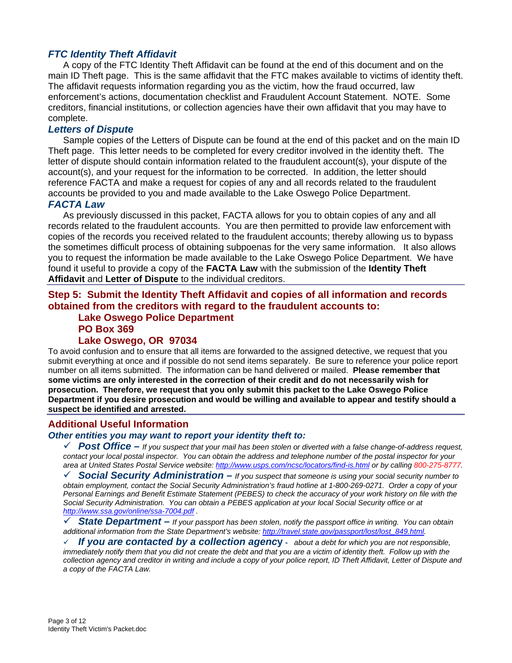#### *FTC Identity Theft Affidavit*

A copy of the FTC Identity Theft Affidavit can be found at the end of this document and on the main ID Theft page. This is the same affidavit that the FTC makes available to victims of identity theft. The affidavit requests information regarding you as the victim, how the fraud occurred, law enforcement's actions, documentation checklist and Fraudulent Account Statement.NOTE. Some creditors, financial institutions, or collection agencies have their own affidavit that you may have to complete.

#### *Letters of Dispute*

Sample copies of the Letters of Dispute can be found at the end of this packet and on the main ID Theft page. This letter needs to be completed for every creditor involved in the identity theft. The letter of dispute should contain information related to the fraudulent account(s), your dispute of the account(s), and your request for the information to be corrected. In addition, the letter should reference FACTA and make a request for copies of any and all records related to the fraudulent accounts be provided to you and made available to the Lake Oswego Police Department.

#### *FACTA Law*

As previously discussed in this packet, FACTA allows for you to obtain copies of any and all records related to the fraudulent accounts. You are then permitted to provide law enforcement with copies of the records you received related to the fraudulent accounts; thereby allowing us to bypass the sometimes difficult process of obtaining subpoenas for the very same information. It also allows you to request the information be made available to the Lake Oswego Police Department. We have found it useful to provide a copy of the **FACTA Law** with the submission of the **Identity Theft Affidavit** and **Letter of Dispute** to the individual creditors.

#### **Step 5: Submit the Identity Theft Affidavit and copies of all information and records obtained from the creditors with regard to the fraudulent accounts to:**

### **Lake Oswego Police Department PO Box 369**

#### **Lake Oswego, OR 97034**

To avoid confusion and to ensure that all items are forwarded to the assigned detective, we request that you submit everything at once and if possible do not send items separately. Be sure to reference your police report number on all items submitted. The information can be hand delivered or mailed. **Please remember that some victims are only interested in the correction of their credit and do not necessarily wish for prosecution. Therefore, we request that you only submit this packet to the Lake Oswego Police Department if you desire prosecution and would be willing and available to appear and testify should a suspect be identified and arrested.** 

#### **Additional Useful Information**

#### *Other entities you may want to report your identity theft to:*

 $\checkmark$  **Post Office** – *If you suspect that your mail has been stolen or diverted with a false change-of-address request, contact your local postal inspector. You can obtain the address and telephone number of the postal inspector for your area at United States Postal Service website:<http://www.usps.com/ncsc/locators/find-is.html> or by calling 800-275-8777.*

9 *Social Security Administration – If you suspect that someone is using your social security number to obtain employment, contact the Social Security Administration's fraud hotline at 1-800-269-0271. Order a copy of your Personal Earnings and Benefit Estimate Statement (PEBES) to check the accuracy of your work history on file with the Social Security Administration. You can obtain a PEBES application at your local Social Security office or at <http://www.ssa.gov/online/ssa-7004.pdf> .*

9 *State Department – If your passport has been stolen, notify the passport office in writing. You can obtain additional information from the State Department's website: [http://travel.state.gov/passport/lost/lost\\_849.html.](http://travel.state.gov/passport/lost/lost_849.html)* 

9 *If you are contacted by a collection agenc***y** *- about a debt for which you are not responsible, immediately notify them that you did not create the debt and that you are a victim of identity theft. Follow up with the collection agency and creditor in writing and include a copy of your police report, ID Theft Affidavit, Letter of Dispute and a copy of the FACTA Law.*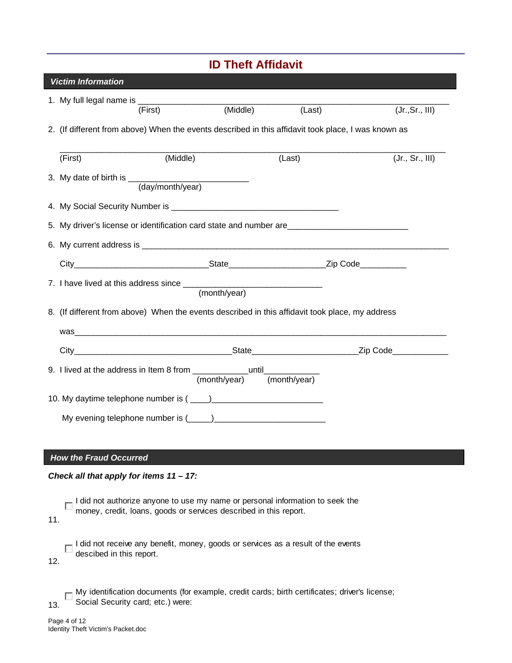| <b>ID Theft Affidavit</b>                          |                                                                                                                                                    |  |        |                 |
|----------------------------------------------------|----------------------------------------------------------------------------------------------------------------------------------------------------|--|--------|-----------------|
| <b>Victim Information</b>                          |                                                                                                                                                    |  |        |                 |
|                                                    | 1. My full legal name is $\overline{\overline{r_{\text{irst1}}}}$ (Middle)                                                                         |  |        |                 |
|                                                    |                                                                                                                                                    |  | (Last) | (Jr., Sr., III) |
|                                                    | 2. (If different from above) When the events described in this affidavit took place, I was known as                                                |  |        |                 |
| (First)                                            | (Middle)                                                                                                                                           |  | (Last) | (Jr., Sr., III) |
|                                                    |                                                                                                                                                    |  |        |                 |
|                                                    |                                                                                                                                                    |  |        |                 |
|                                                    | 5. My driver's license or identification card state and number are                                                                                 |  |        |                 |
|                                                    |                                                                                                                                                    |  |        |                 |
|                                                    |                                                                                                                                                    |  |        |                 |
|                                                    |                                                                                                                                                    |  |        |                 |
|                                                    |                                                                                                                                                    |  |        |                 |
|                                                    | 8. (If different from above) When the events described in this affidavit took place, my address                                                    |  |        |                 |
|                                                    |                                                                                                                                                    |  |        |                 |
|                                                    |                                                                                                                                                    |  |        |                 |
|                                                    | 9. I lived at the address in Item 8 from $\frac{$ until $\frac{1}{(month/year)}$ (month/year)                                                      |  |        |                 |
|                                                    |                                                                                                                                                    |  |        |                 |
|                                                    |                                                                                                                                                    |  |        |                 |
|                                                    |                                                                                                                                                    |  |        |                 |
|                                                    |                                                                                                                                                    |  |        |                 |
| <b>How the Fraud Occurred</b>                      |                                                                                                                                                    |  |        |                 |
|                                                    | Check all that apply for items $11 - 17$ :                                                                                                         |  |        |                 |
| 11.                                                | I did not authorize anyone to use my name or personal information to seek the<br>money, credit, loans, goods or services described in this report. |  |        |                 |
| descibed in this report.<br>12.                    | I did not receive any benefit, money, goods or services as a result of the events                                                                  |  |        |                 |
| 13.                                                | My identification documents (for example, credit cards; birth certificates; driver's license;<br>Social Security card; etc.) were:                 |  |        |                 |
| Page 4 of 12<br>Identity Theft Victim's Packet.doc |                                                                                                                                                    |  |        |                 |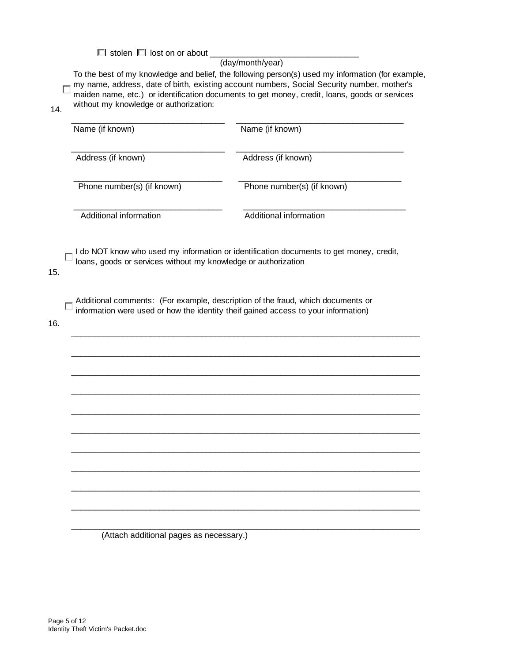$\Box$  stolen  $\Box$  lost on or about \_

#### (day/month/year)

To the best of my knowledge and belief, the following person(s) used my information (for example, my name, address, date of birth, existing account numbers, Social Security number, mother's Г maiden name, etc.) or identification documents to get money, credit, loans, goods or services without my knowledge or authorization:

14.

| Name (if known)            | Name (if known)            |
|----------------------------|----------------------------|
| Address (if known)         | Address (if known)         |
| Phone number(s) (if known) | Phone number(s) (if known) |
| Additional information     | Additional information     |

I do NOT know who used my information or identification documents to get money, credit, loans, goods or services without my knowledge or authorization

 $\overline{\phantom{a}}$  , and the set of the set of the set of the set of the set of the set of the set of the set of the set of the set of the set of the set of the set of the set of the set of the set of the set of the set of the s

 $\mathcal{L}_\text{max} = \frac{1}{2} \sum_{i=1}^{n} \frac{1}{2} \sum_{i=1}^{n} \frac{1}{2} \sum_{i=1}^{n} \frac{1}{2} \sum_{i=1}^{n} \frac{1}{2} \sum_{i=1}^{n} \frac{1}{2} \sum_{i=1}^{n} \frac{1}{2} \sum_{i=1}^{n} \frac{1}{2} \sum_{i=1}^{n} \frac{1}{2} \sum_{i=1}^{n} \frac{1}{2} \sum_{i=1}^{n} \frac{1}{2} \sum_{i=1}^{n} \frac{1}{2} \sum_{i=1}^{n} \frac{1$ 

 $\mathcal{L}_\text{max} = \frac{1}{2} \sum_{i=1}^{n} \frac{1}{2} \sum_{i=1}^{n} \frac{1}{2} \sum_{i=1}^{n} \frac{1}{2} \sum_{i=1}^{n} \frac{1}{2} \sum_{i=1}^{n} \frac{1}{2} \sum_{i=1}^{n} \frac{1}{2} \sum_{i=1}^{n} \frac{1}{2} \sum_{i=1}^{n} \frac{1}{2} \sum_{i=1}^{n} \frac{1}{2} \sum_{i=1}^{n} \frac{1}{2} \sum_{i=1}^{n} \frac{1}{2} \sum_{i=1}^{n} \frac{1$ 

 $\overline{\phantom{a}}$  , and the set of the set of the set of the set of the set of the set of the set of the set of the set of the set of the set of the set of the set of the set of the set of the set of the set of the set of the s

 $\mathcal{L}_\text{max} = \frac{1}{2} \sum_{i=1}^{n} \frac{1}{2} \sum_{i=1}^{n} \frac{1}{2} \sum_{i=1}^{n} \frac{1}{2} \sum_{i=1}^{n} \frac{1}{2} \sum_{i=1}^{n} \frac{1}{2} \sum_{i=1}^{n} \frac{1}{2} \sum_{i=1}^{n} \frac{1}{2} \sum_{i=1}^{n} \frac{1}{2} \sum_{i=1}^{n} \frac{1}{2} \sum_{i=1}^{n} \frac{1}{2} \sum_{i=1}^{n} \frac{1}{2} \sum_{i=1}^{n} \frac{1$ 

 $\mathcal{L}_\text{max} = \frac{1}{2} \sum_{i=1}^{n} \frac{1}{2} \sum_{i=1}^{n} \frac{1}{2} \sum_{i=1}^{n} \frac{1}{2} \sum_{i=1}^{n} \frac{1}{2} \sum_{i=1}^{n} \frac{1}{2} \sum_{i=1}^{n} \frac{1}{2} \sum_{i=1}^{n} \frac{1}{2} \sum_{i=1}^{n} \frac{1}{2} \sum_{i=1}^{n} \frac{1}{2} \sum_{i=1}^{n} \frac{1}{2} \sum_{i=1}^{n} \frac{1}{2} \sum_{i=1}^{n} \frac{1$ 

 $\overline{\phantom{a}}$  , and the set of the set of the set of the set of the set of the set of the set of the set of the set of the set of the set of the set of the set of the set of the set of the set of the set of the set of the s

 $\mathcal{L}_\text{max} = \frac{1}{2} \sum_{i=1}^{n} \frac{1}{2} \sum_{i=1}^{n} \frac{1}{2} \sum_{i=1}^{n} \frac{1}{2} \sum_{i=1}^{n} \frac{1}{2} \sum_{i=1}^{n} \frac{1}{2} \sum_{i=1}^{n} \frac{1}{2} \sum_{i=1}^{n} \frac{1}{2} \sum_{i=1}^{n} \frac{1}{2} \sum_{i=1}^{n} \frac{1}{2} \sum_{i=1}^{n} \frac{1}{2} \sum_{i=1}^{n} \frac{1}{2} \sum_{i=1}^{n} \frac{1$ 

 $\mathcal{L}_\text{max} = \frac{1}{2} \sum_{i=1}^{n} \frac{1}{2} \sum_{i=1}^{n} \frac{1}{2} \sum_{i=1}^{n} \frac{1}{2} \sum_{i=1}^{n} \frac{1}{2} \sum_{i=1}^{n} \frac{1}{2} \sum_{i=1}^{n} \frac{1}{2} \sum_{i=1}^{n} \frac{1}{2} \sum_{i=1}^{n} \frac{1}{2} \sum_{i=1}^{n} \frac{1}{2} \sum_{i=1}^{n} \frac{1}{2} \sum_{i=1}^{n} \frac{1}{2} \sum_{i=1}^{n} \frac{1$ 

 $\overline{\phantom{a}}$  , and the set of the set of the set of the set of the set of the set of the set of the set of the set of the set of the set of the set of the set of the set of the set of the set of the set of the set of the s

 $\mathcal{L}_\text{max} = \frac{1}{2} \sum_{i=1}^{n} \frac{1}{2} \sum_{i=1}^{n} \frac{1}{2} \sum_{i=1}^{n} \frac{1}{2} \sum_{i=1}^{n} \frac{1}{2} \sum_{i=1}^{n} \frac{1}{2} \sum_{i=1}^{n} \frac{1}{2} \sum_{i=1}^{n} \frac{1}{2} \sum_{i=1}^{n} \frac{1}{2} \sum_{i=1}^{n} \frac{1}{2} \sum_{i=1}^{n} \frac{1}{2} \sum_{i=1}^{n} \frac{1}{2} \sum_{i=1}^{n} \frac{1$ 

15.

Additional comments: (For example, description of the fraud, which documents or information were used or how the identity theif gained access to your information)

16.

(Attach additional pages as necessary.)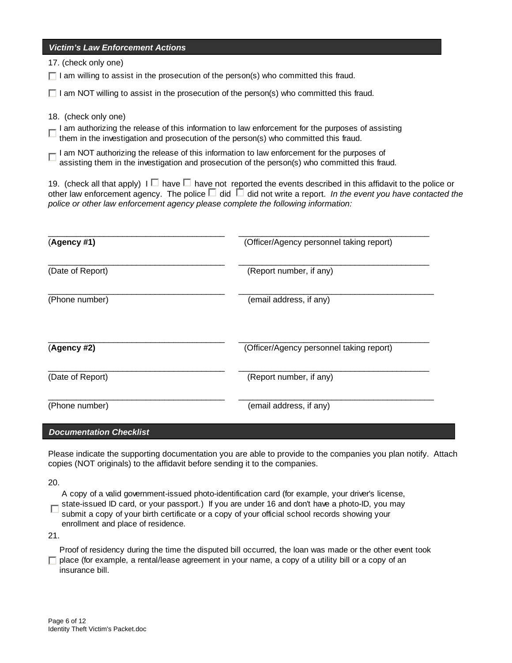| <b>Victim's Law Enforcement Actions</b>                                                                                                                                                                                                                                                                                                  |                                          |  |  |  |  |
|------------------------------------------------------------------------------------------------------------------------------------------------------------------------------------------------------------------------------------------------------------------------------------------------------------------------------------------|------------------------------------------|--|--|--|--|
| 17. (check only one)                                                                                                                                                                                                                                                                                                                     |                                          |  |  |  |  |
| $\Box$ I am willing to assist in the prosecution of the person(s) who committed this fraud.                                                                                                                                                                                                                                              |                                          |  |  |  |  |
| $\Box$ I am NOT willing to assist in the prosecution of the person(s) who committed this fraud.                                                                                                                                                                                                                                          |                                          |  |  |  |  |
| 18. (check only one)                                                                                                                                                                                                                                                                                                                     |                                          |  |  |  |  |
| I am authorizing the release of this information to law enforcement for the purposes of assisting<br>them in the investigation and prosecution of the person(s) who committed this fraud.                                                                                                                                                |                                          |  |  |  |  |
| $\Box$ I am NOT authorizing the release of this information to law enforcement for the purposes of assisting them in the investigation and prosecution of the person(s) who committed this fraud.                                                                                                                                        |                                          |  |  |  |  |
| 19. (check all that apply) $I \Box$ have $\Box$ have not reported the events described in this affidavit to the police or<br>other law enforcement agency. The police $\Box$ did $\Box$ did not write a report. In the event you have contacted the<br>police or other law enforcement agency please complete the following information: |                                          |  |  |  |  |
| (Agency #1)                                                                                                                                                                                                                                                                                                                              | (Officer/Agency personnel taking report) |  |  |  |  |
| (Date of Report)                                                                                                                                                                                                                                                                                                                         | (Report number, if any)                  |  |  |  |  |
| (Phone number)                                                                                                                                                                                                                                                                                                                           | (email address, if any)                  |  |  |  |  |
| (Agency #2)                                                                                                                                                                                                                                                                                                                              | (Officer/Agency personnel taking report) |  |  |  |  |
| (Date of Report)                                                                                                                                                                                                                                                                                                                         | (Report number, if any)                  |  |  |  |  |
| (Phone number)                                                                                                                                                                                                                                                                                                                           | (email address, if any)                  |  |  |  |  |

#### *Documentation Checklist*

Please indicate the supporting documentation you are able to provide to the companies you plan notify. Attach copies (NOT originals) to the affidavit before sending it to the companies.

20.

A copy of a valid government-issued photo-identification card (for example, your driver's license,

state-issued ID card, or your passport.) If you are under 16 and don't have a photo-ID, you may

submit a copy of your birth certificate or a copy of your official school records showing your enrollment and place of residence.

21.

Proof of residency during the time the disputed bill occurred, the loan was made or the other event took  $\Box$  place (for example, a rental/lease agreement in your name, a copy of a utility bill or a copy of an insurance bill.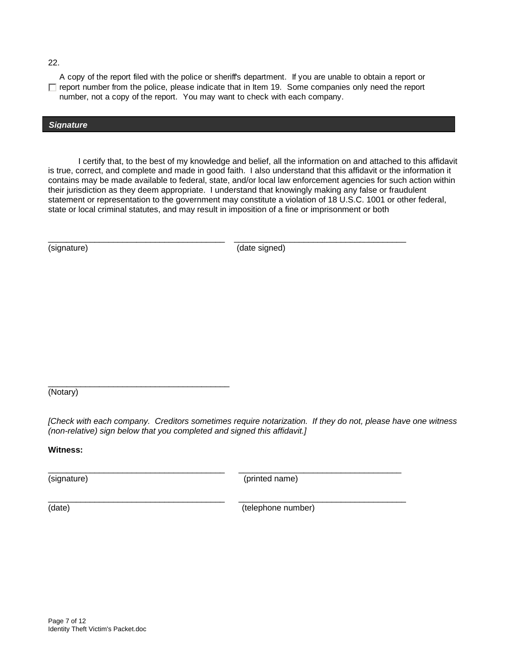22.

A copy of the report filed with the police or sheriff's department. If you are unable to obtain a report or  $\Box$  report number from the police, please indicate that in Item 19. Some companies only need the report number, not a copy of the report. You may want to check with each company.

#### *Signature*

I certify that, to the best of my knowledge and belief, all the information on and attached to this affidavit is true, correct, and complete and made in good faith. I also understand that this affidavit or the information it contains may be made available to federal, state, and/or local law enforcement agencies for such action within their jurisdiction as they deem appropriate. I understand that knowingly making any false or fraudulent statement or representation to the government may constitute a violation of 18 U.S.C. 1001 or other federal, state or local criminal statutes, and may result in imposition of a fine or imprisonment or both

(signature) (date signed)

\_\_\_\_\_\_\_\_\_\_\_\_\_\_\_\_\_\_\_\_\_\_\_\_\_\_\_\_\_\_\_\_\_\_\_\_\_\_ \_\_\_\_\_\_\_\_\_\_\_\_\_\_\_\_\_\_\_\_\_\_\_\_\_\_\_\_\_\_\_\_\_\_\_\_\_

\_\_\_\_\_\_\_\_\_\_\_\_\_\_\_\_\_\_\_\_\_\_\_\_\_\_\_\_\_\_\_\_\_\_\_\_\_\_\_ (Notary)

*[Check with each company. Creditors sometimes require notarization. If they do not, please have one witness (non-relative) sign below that you completed and signed this affidavit.]* 

\_\_\_\_\_\_\_\_\_\_\_\_\_\_\_\_\_\_\_\_\_\_\_\_\_\_\_\_\_\_\_\_\_\_\_\_\_\_ \_\_\_\_\_\_\_\_\_\_\_\_\_\_\_\_\_\_\_\_\_\_\_\_\_\_\_\_\_\_\_\_\_\_\_\_

**Witness:**

\_\_\_\_\_\_\_\_\_\_\_\_\_\_\_\_\_\_\_\_\_\_\_\_\_\_\_\_\_\_\_\_\_\_\_\_\_\_ \_\_\_\_\_\_\_\_\_\_\_\_\_\_\_\_\_\_\_\_\_\_\_\_\_\_\_\_\_\_\_\_\_\_\_

(signature) (printed name)

(date) (date) (telephone number)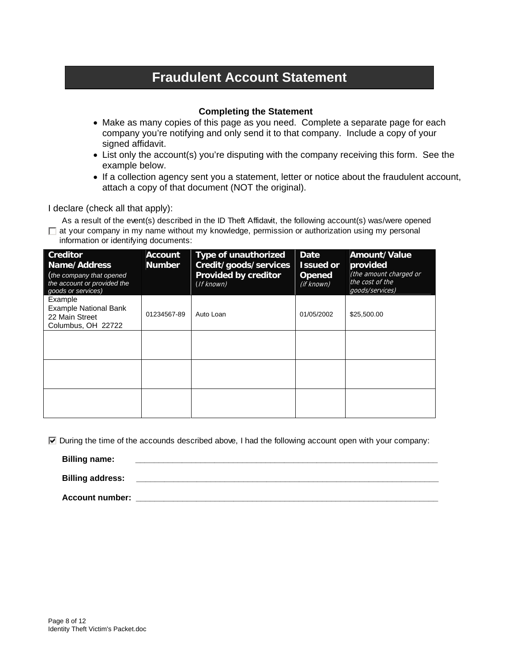## **Fraudulent Account Statement**

#### **Completing the Statement**

- Make as many copies of this page as you need. Complete a separate page for each company you're notifying and only send it to that company. Include a copy of your signed affidavit.
- List only the account(s) you're disputing with the company receiving this form. See the example below.
- If a collection agency sent you a statement, letter or notice about the fraudulent account, attach a copy of that document (NOT the original).

I declare (check all that apply):

 As a result of the event(s) described in the ID Theft Affidavit, the following account(s) was/were opened  $\Box$  at your company in my name without my knowledge, permission or authorization using my personal information or identifying documents:

| <b>Creditor</b><br>Name/Address<br>(the company that opened<br>the account or provided the<br>goods or services) | <b>Account</b><br><b>Number</b> | <b>Type of unauthorized</b><br>Credit/goods/services<br>Provided by creditor<br>(If known) | Date<br><b>Issued or</b><br><b>Opened</b><br>(if known) | Amount/Value<br>provided<br>(the amount charged or<br>the cost of the<br>goods/services) |
|------------------------------------------------------------------------------------------------------------------|---------------------------------|--------------------------------------------------------------------------------------------|---------------------------------------------------------|------------------------------------------------------------------------------------------|
| Example<br><b>Example National Bank</b><br>22 Main Street<br>Columbus, OH 22722                                  | 01234567-89                     | Auto Loan                                                                                  | 01/05/2002                                              | \$25,500.00                                                                              |
|                                                                                                                  |                                 |                                                                                            |                                                         |                                                                                          |
|                                                                                                                  |                                 |                                                                                            |                                                         |                                                                                          |
|                                                                                                                  |                                 |                                                                                            |                                                         |                                                                                          |

 $\overline{V}$  During the time of the accounds described above, I had the following account open with your company:

**Billing name:** 

 **Billing address: \_\_\_\_\_\_\_\_\_\_\_\_\_\_\_\_\_\_\_\_\_\_\_\_\_\_\_\_\_\_\_\_\_\_\_\_\_\_\_\_\_\_\_\_\_\_\_\_\_\_\_\_\_\_\_\_\_\_\_\_\_\_\_\_\_** 

 **Account number: \_\_\_\_\_\_\_\_\_\_\_\_\_\_\_\_\_\_\_\_\_\_\_\_\_\_\_\_\_\_\_\_\_\_\_\_\_\_\_\_\_\_\_\_\_\_\_\_\_\_\_\_\_\_\_\_\_\_\_\_\_\_\_\_\_**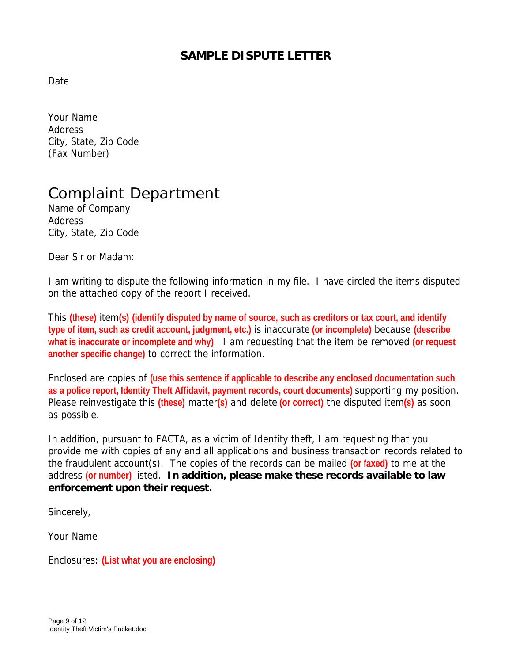## **SAMPLE DISPUTE LETTER**

Date

Your Name Address City, State, Zip Code (Fax Number)

# Complaint Department

Name of Company Address City, State, Zip Code

Dear Sir or Madam:

I am writing to dispute the following information in my file. I have circled the items disputed on the attached copy of the report I received.

This **(these)** item**(s) (identify disputed by name of source, such as creditors or tax court, and identify type of item, such as credit account, judgment, etc.)** is inaccurate **(or incomplete)** because **(describe what is inaccurate or incomplete and why)**. I am requesting that the item be removed **(or request another specific change)** to correct the information.

Enclosed are copies of **(use this sentence if applicable to describe any enclosed documentation such as a police report, Identity Theft Affidavit, payment records, court documents)** supporting my position. Please reinvestigate this **(these)** matter**(s)** and delete **(or correct)** the disputed item**(s)** as soon as possible.

In addition, pursuant to FACTA, as a victim of Identity theft, I am requesting that you provide me with copies of any and all applications and business transaction records related to the fraudulent account(s). The copies of the records can be mailed **(or faxed)** to me at the address **(or number)** listed. **In addition, please make these records available to law enforcement upon their request.** 

Sincerely,

Your Name

Enclosures: **(List what you are enclosing)**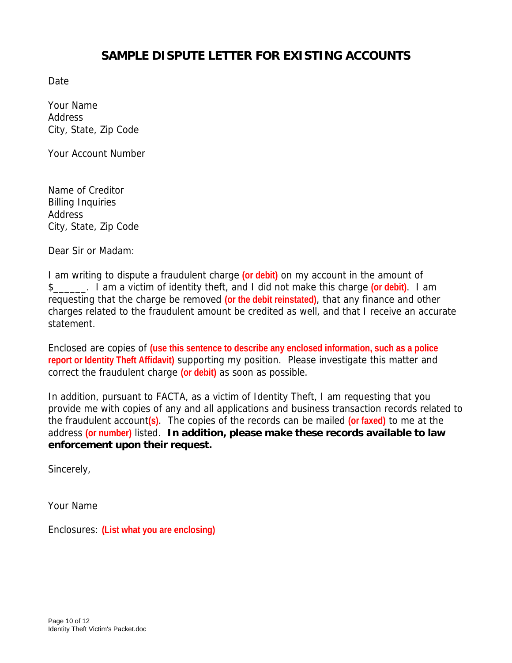## **SAMPLE DISPUTE LETTER FOR EXISTING ACCOUNTS**

Date

Your Name Address City, State, Zip Code

Your Account Number

Name of Creditor Billing Inquiries Address City, State, Zip Code

Dear Sir or Madam:

I am writing to dispute a fraudulent charge **(or debit)** on my account in the amount of \$\_\_\_\_\_\_. I am a victim of identity theft, and I did not make this charge **(or debit)**. I am requesting that the charge be removed **(or the debit reinstated)**, that any finance and other charges related to the fraudulent amount be credited as well, and that I receive an accurate statement.

Enclosed are copies of **(use this sentence to describe any enclosed information, such as a police report or Identity Theft Affidavit)** supporting my position. Please investigate this matter and correct the fraudulent charge **(or debit)** as soon as possible.

In addition, pursuant to FACTA, as a victim of Identity Theft, I am requesting that you provide me with copies of any and all applications and business transaction records related to the fraudulent account**(s)**. The copies of the records can be mailed **(or faxed)** to me at the address **(or number)** listed. **In addition, please make these records available to law enforcement upon their request.** 

Sincerely,

Your Name

Enclosures: **(List what you are enclosing)**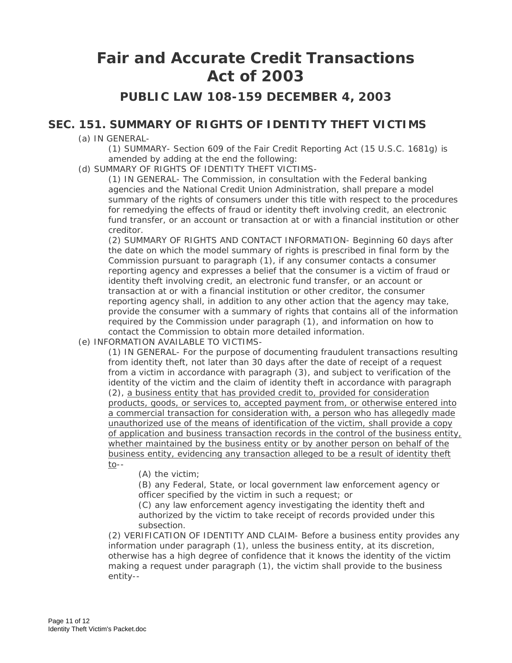## **Fair and Accurate Credit Transactions Act of 2003**

**PUBLIC LAW 108-159 DECEMBER 4, 2003** 

### **SEC. 151. SUMMARY OF RIGHTS OF IDENTITY THEFT VICTIMS**

(a) IN GENERAL-

(1) SUMMARY- Section 609 of the Fair Credit Reporting Act (15 U.S.C. 1681g) is amended by adding at the end the following:

(d) SUMMARY OF RIGHTS OF IDENTITY THEFT VICTIMS-

(1) IN GENERAL- The Commission, in consultation with the Federal banking agencies and the National Credit Union Administration, shall prepare a model summary of the rights of consumers under this title with respect to the procedures for remedying the effects of fraud or identity theft involving credit, an electronic fund transfer, or an account or transaction at or with a financial institution or other creditor.

(2) SUMMARY OF RIGHTS AND CONTACT INFORMATION- Beginning 60 days after the date on which the model summary of rights is prescribed in final form by the Commission pursuant to paragraph (1), if any consumer contacts a consumer reporting agency and expresses a belief that the consumer is a victim of fraud or identity theft involving credit, an electronic fund transfer, or an account or transaction at or with a financial institution or other creditor, the consumer reporting agency shall, in addition to any other action that the agency may take, provide the consumer with a summary of rights that contains all of the information required by the Commission under paragraph (1), and information on how to contact the Commission to obtain more detailed information.

(e) INFORMATION AVAILABLE TO VICTIMS-

(1) IN GENERAL- For the purpose of documenting fraudulent transactions resulting from identity theft, not later than 30 days after the date of receipt of a request from a victim in accordance with paragraph (3), and subject to verification of the identity of the victim and the claim of identity theft in accordance with paragraph (2), a business entity that has provided credit to, provided for consideration products, goods, or services to, accepted payment from, or otherwise entered into a commercial transaction for consideration with, a person who has allegedly made unauthorized use of the means of identification of the victim, shall provide a copy of application and business transaction records in the control of the business entity, whether maintained by the business entity or by another person on behalf of the business entity, evidencing any transaction alleged to be a result of identity theft to--

(A) the victim;

(B) any Federal, State, or local government law enforcement agency or officer specified by the victim in such a request; or

(C) any law enforcement agency investigating the identity theft and authorized by the victim to take receipt of records provided under this subsection.

(2) VERIFICATION OF IDENTITY AND CLAIM- Before a business entity provides any information under paragraph (1), unless the business entity, at its discretion, otherwise has a high degree of confidence that it knows the identity of the victim making a request under paragraph (1), the victim shall provide to the business entity--